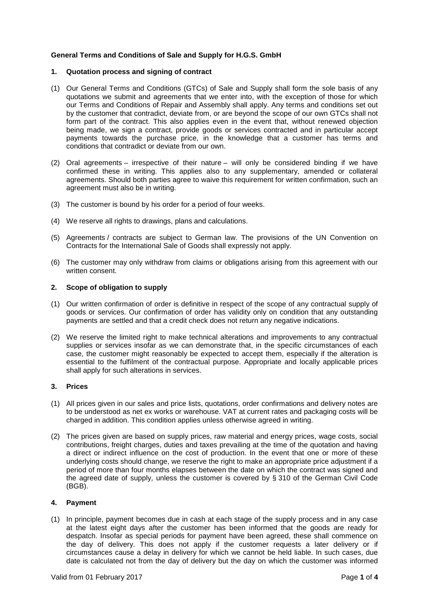# **General Terms and Conditions of Sale and Supply for H.G.S. GmbH**

### **1. Quotation process and signing of contract**

- (1) Our General Terms and Conditions (GTCs) of Sale and Supply shall form the sole basis of any quotations we submit and agreements that we enter into, with the exception of those for which our Terms and Conditions of Repair and Assembly shall apply. Any terms and conditions set out by the customer that contradict, deviate from, or are beyond the scope of our own GTCs shall not form part of the contract. This also applies even in the event that, without renewed objection being made, we sign a contract, provide goods or services contracted and in particular accept payments towards the purchase price, in the knowledge that a customer has terms and conditions that contradict or deviate from our own.
- (2) Oral agreements irrespective of their nature will only be considered binding if we have confirmed these in writing. This applies also to any supplementary, amended or collateral agreements. Should both parties agree to waive this requirement for written confirmation, such an agreement must also be in writing.
- (3) The customer is bound by his order for a period of four weeks.
- (4) We reserve all rights to drawings, plans and calculations.
- (5) Agreements / contracts are subject to German law. The provisions of the UN Convention on Contracts for the International Sale of Goods shall expressly not apply.
- (6) The customer may only withdraw from claims or obligations arising from this agreement with our written consent.

# **2. Scope of obligation to supply**

- (1) Our written confirmation of order is definitive in respect of the scope of any contractual supply of goods or services. Our confirmation of order has validity only on condition that any outstanding payments are settled and that a credit check does not return any negative indications.
- (2) We reserve the limited right to make technical alterations and improvements to any contractual supplies or services insofar as we can demonstrate that, in the specific circumstances of each case, the customer might reasonably be expected to accept them, especially if the alteration is essential to the fulfilment of the contractual purpose. Appropriate and locally applicable prices shall apply for such alterations in services.

### **3. Prices**

- (1) All prices given in our sales and price lists, quotations, order confirmations and delivery notes are to be understood as net ex works or warehouse. VAT at current rates and packaging costs will be charged in addition. This condition applies unless otherwise agreed in writing.
- (2) The prices given are based on supply prices, raw material and energy prices, wage costs, social contributions, freight charges, duties and taxes prevailing at the time of the quotation and having a direct or indirect influence on the cost of production. In the event that one or more of these underlying costs should change, we reserve the right to make an appropriate price adjustment if a period of more than four months elapses between the date on which the contract was signed and the agreed date of supply, unless the customer is covered by § 310 of the German Civil Code (BGB).

# **4. Payment**

(1) In principle, payment becomes due in cash at each stage of the supply process and in any case at the latest eight days after the customer has been informed that the goods are ready for despatch. Insofar as special periods for payment have been agreed, these shall commence on the day of delivery. This does not apply if the customer requests a later delivery or if circumstances cause a delay in delivery for which we cannot be held liable. In such cases, due date is calculated not from the day of delivery but the day on which the customer was informed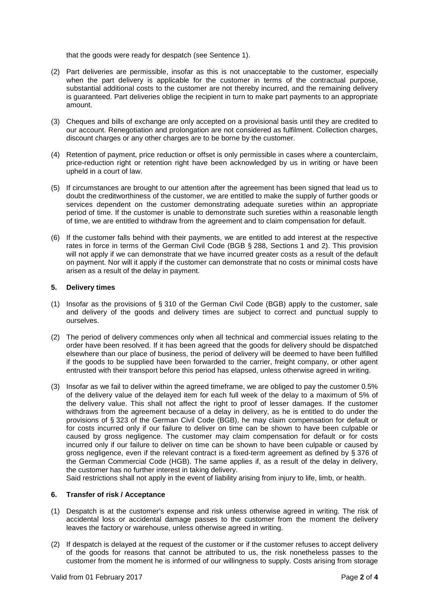that the goods were ready for despatch (see Sentence 1).

- (2) Part deliveries are permissible, insofar as this is not unacceptable to the customer, especially when the part delivery is applicable for the customer in terms of the contractual purpose, substantial additional costs to the customer are not thereby incurred, and the remaining delivery is guaranteed. Part deliveries oblige the recipient in turn to make part payments to an appropriate amount.
- (3) Cheques and bills of exchange are only accepted on a provisional basis until they are credited to our account. Renegotiation and prolongation are not considered as fulfilment. Collection charges, discount charges or any other charges are to be borne by the customer.
- (4) Retention of payment, price reduction or offset is only permissible in cases where a counterclaim, price-reduction right or retention right have been acknowledged by us in writing or have been upheld in a court of law.
- (5) If circumstances are brought to our attention after the agreement has been signed that lead us to doubt the creditworthiness of the customer, we are entitled to make the supply of further goods or services dependent on the customer demonstrating adequate sureties within an appropriate period of time. If the customer is unable to demonstrate such sureties within a reasonable length of time, we are entitled to withdraw from the agreement and to claim compensation for default.
- (6) If the customer falls behind with their payments, we are entitled to add interest at the respective rates in force in terms of the German Civil Code (BGB § 288, Sections 1 and 2). This provision will not apply if we can demonstrate that we have incurred greater costs as a result of the default on payment. Nor will it apply if the customer can demonstrate that no costs or minimal costs have arisen as a result of the delay in payment.

# **5. Delivery times**

- (1) Insofar as the provisions of § 310 of the German Civil Code (BGB) apply to the customer, sale and delivery of the goods and delivery times are subject to correct and punctual supply to ourselves.
- (2) The period of delivery commences only when all technical and commercial issues relating to the order have been resolved. If it has been agreed that the goods for delivery should be dispatched elsewhere than our place of business, the period of delivery will be deemed to have been fulfilled if the goods to be supplied have been forwarded to the carrier, freight company, or other agent entrusted with their transport before this period has elapsed, unless otherwise agreed in writing.
- (3) Insofar as we fail to deliver within the agreed timeframe, we are obliged to pay the customer 0.5% of the delivery value of the delayed item for each full week of the delay to a maximum of 5% of the delivery value. This shall not affect the right to proof of lesser damages. If the customer withdraws from the agreement because of a delay in delivery, as he is entitled to do under the provisions of § 323 of the German Civil Code (BGB), he may claim compensation for default or for costs incurred only if our failure to deliver on time can be shown to have been culpable or caused by gross negligence. The customer may claim compensation for default or for costs incurred only if our failure to deliver on time can be shown to have been culpable or caused by gross negligence, even if the relevant contract is a fixed-term agreement as defined by § 376 of the German Commercial Code (HGB). The same applies if, as a result of the delay in delivery, the customer has no further interest in taking delivery.

Said restrictions shall not apply in the event of liability arising from injury to life, limb, or health.

# **6. Transfer of risk / Acceptance**

- (1) Despatch is at the customer's expense and risk unless otherwise agreed in writing. The risk of accidental loss or accidental damage passes to the customer from the moment the delivery leaves the factory or warehouse, unless otherwise agreed in writing.
- (2) If despatch is delayed at the request of the customer or if the customer refuses to accept delivery of the goods for reasons that cannot be attributed to us, the risk nonetheless passes to the customer from the moment he is informed of our willingness to supply. Costs arising from storage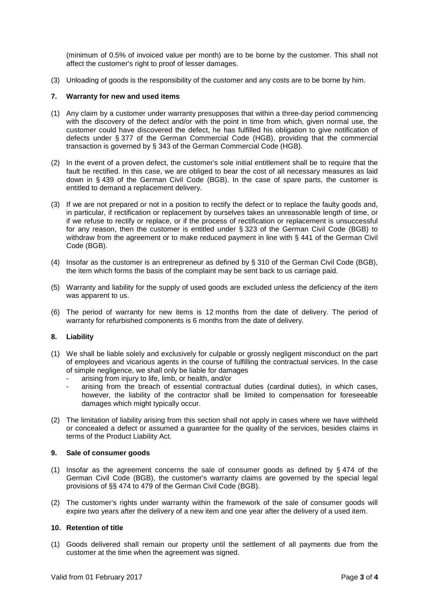(minimum of 0.5% of invoiced value per month) are to be borne by the customer. This shall not affect the customer's right to proof of lesser damages.

(3) Unloading of goods is the responsibility of the customer and any costs are to be borne by him.

### **7. Warranty for new and used items**

- (1) Any claim by a customer under warranty presupposes that within a three-day period commencing with the discovery of the defect and/or with the point in time from which, given normal use, the customer could have discovered the defect, he has fulfilled his obligation to give notification of defects under § 377 of the German Commercial Code (HGB), providing that the commercial transaction is governed by § 343 of the German Commercial Code (HGB).
- (2) In the event of a proven defect, the customer's sole initial entitlement shall be to require that the fault be rectified. In this case, we are obliged to bear the cost of all necessary measures as laid down in § 439 of the German Civil Code (BGB). In the case of spare parts, the customer is entitled to demand a replacement delivery.
- (3) If we are not prepared or not in a position to rectify the defect or to replace the faulty goods and, in particular, if rectification or replacement by ourselves takes an unreasonable length of time, or if we refuse to rectify or replace, or if the process of rectification or replacement is unsuccessful for any reason, then the customer is entitled under § 323 of the German Civil Code (BGB) to withdraw from the agreement or to make reduced payment in line with § 441 of the German Civil Code (BGB).
- (4) Insofar as the customer is an entrepreneur as defined by § 310 of the German Civil Code (BGB), the item which forms the basis of the complaint may be sent back to us carriage paid.
- (5) Warranty and liability for the supply of used goods are excluded unless the deficiency of the item was apparent to us.
- (6) The period of warranty for new items is 12 months from the date of delivery. The period of warranty for refurbished components is 6 months from the date of delivery.

### **8. Liability**

- (1) We shall be liable solely and exclusively for culpable or grossly negligent misconduct on the part of employees and vicarious agents in the course of fulfilling the contractual services. In the case of simple negligence, we shall only be liable for damages
	- arising from injury to life, limb, or health, and/or
	- arising from the breach of essential contractual duties (cardinal duties), in which cases, however, the liability of the contractor shall be limited to compensation for foreseeable damages which might typically occur.
- (2) The limitation of liability arising from this section shall not apply in cases where we have withheld or concealed a defect or assumed a guarantee for the quality of the services, besides claims in terms of the Product Liability Act.

### **9. Sale of consumer goods**

- (1) Insofar as the agreement concerns the sale of consumer goods as defined by § 474 of the German Civil Code (BGB), the customer's warranty claims are governed by the special legal provisions of §§ 474 to 479 of the German Civil Code (BGB).
- (2) The customer's rights under warranty within the framework of the sale of consumer goods will expire two years after the delivery of a new item and one year after the delivery of a used item.

### **10. Retention of title**

(1) Goods delivered shall remain our property until the settlement of all payments due from the customer at the time when the agreement was signed.